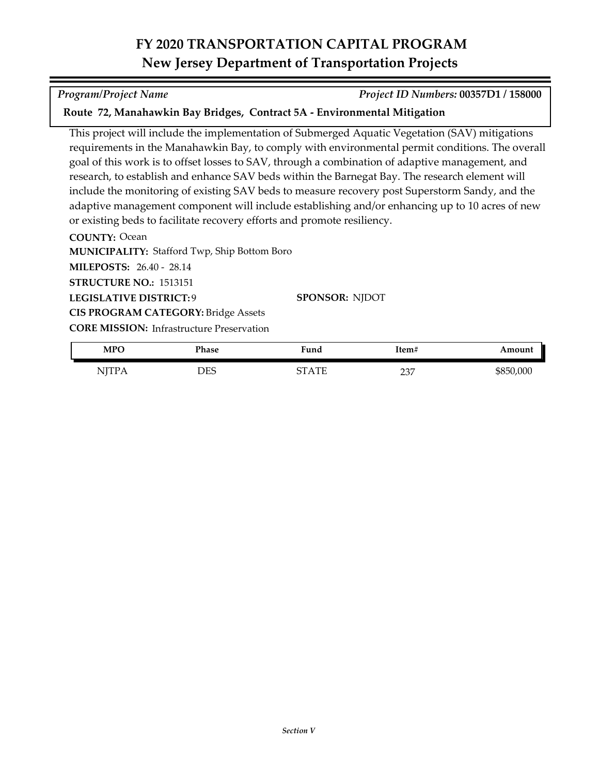## **FY 2020 TRANSPORTATION CAPITAL PROGRAM New Jersey Department of Transportation Projects**

## **COUNTY:** Ocean **MUNICIPALITY: Stafford Twp, Ship Bottom Boro** This project will include the implementation of Submerged Aquatic Vegetation (SAV) mitigations requirements in the Manahawkin Bay, to comply with environmental permit conditions. The overall goal of this work is to offset losses to SAV, through a combination of adaptive management, and research, to establish and enhance SAV beds within the Barnegat Bay. The research element will include the monitoring of existing SAV beds to measure recovery post Superstorm Sandy, and the adaptive management component will include establishing and/or enhancing up to 10 acres of new or existing beds to facilitate recovery efforts and promote resiliency.

**Route 72, Manahawkin Bay Bridges, Contract 5A - Environmental Mitigation**

**LEGISLATIVE DISTRICT:** 9 **MILEPOSTS:** 26.40 - 28.14 **STRUCTURE NO.:** 1513151 **SPONSOR:** NJDOT **CIS PROGRAM CATEGORY:** Bridge Assets

**CORE MISSION: Infrastructure Preservation** 

| MPO          | Phase | Fund  | Item#       | Amount    |
|--------------|-------|-------|-------------|-----------|
| . <i>.</i> . | DES   | STATE | דיר<br>ا ن∠ | \$850,000 |